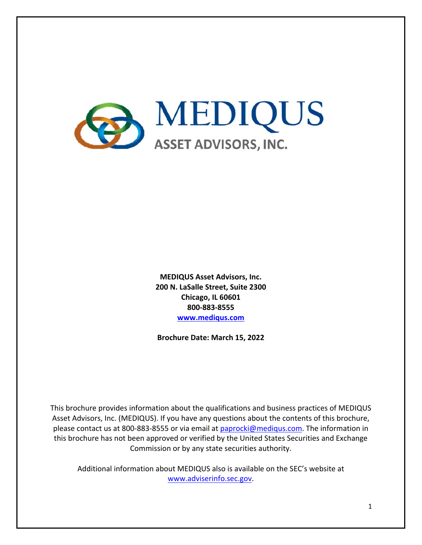

**MEDIQUS Asset Advisors, Inc. 200 N. LaSalle Street, Suite 2300 Chicago, IL 60601 800‐883‐8555 www.mediqus.com**

**Brochure Date: March 15, 2022** 

This brochure provides information about the qualifications and business practices of MEDIQUS Asset Advisors, Inc. (MEDIQUS). If you have any questions about the contents of this brochure, please contact us at 800-883-8555 or via email at paprocki@mediqus.com. The information in this brochure has not been approved or verified by the United States Securities and Exchange Commission or by any state securities authority.

Additional information about MEDIQUS also is available on the SEC's website at www.adviserinfo.sec.gov.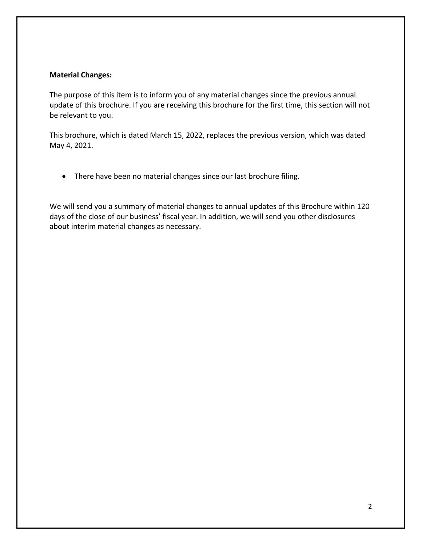#### **Material Changes:**

The purpose of this item is to inform you of any material changes since the previous annual update of this brochure. If you are receiving this brochure for the first time, this section will not be relevant to you.

This brochure, which is dated March 15, 2022, replaces the previous version, which was dated May 4, 2021.

• There have been no material changes since our last brochure filing.

We will send you a summary of material changes to annual updates of this Brochure within 120 days of the close of our business' fiscal year. In addition, we will send you other disclosures about interim material changes as necessary.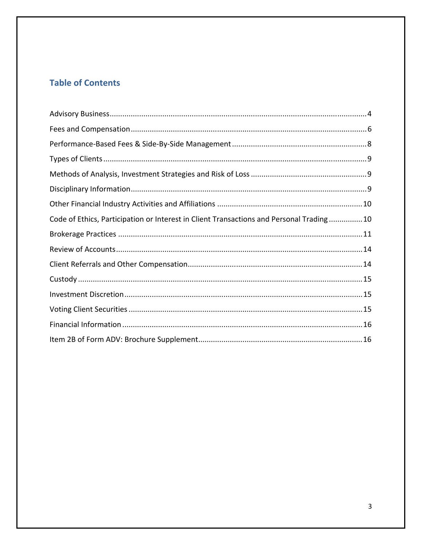# **Table of Contents**

| Code of Ethics, Participation or Interest in Client Transactions and Personal Trading10 |  |
|-----------------------------------------------------------------------------------------|--|
|                                                                                         |  |
|                                                                                         |  |
|                                                                                         |  |
|                                                                                         |  |
|                                                                                         |  |
|                                                                                         |  |
|                                                                                         |  |
|                                                                                         |  |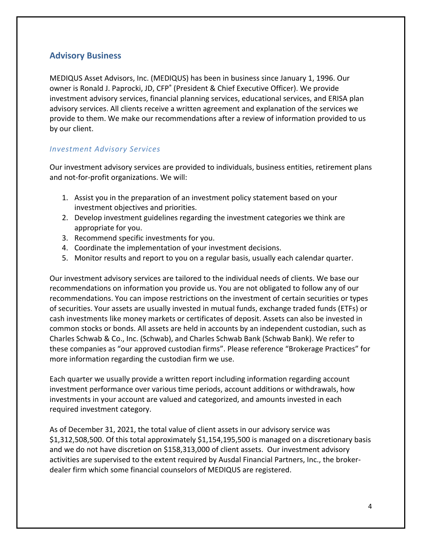### **Advisory Business**

MEDIQUS Asset Advisors, Inc. (MEDIQUS) has been in business since January 1, 1996. Our owner is Ronald J. Paprocki, JD, CFP<sup>®</sup> (President & Chief Executive Officer). We provide investment advisory services, financial planning services, educational services, and ERISA plan advisory services. All clients receive a written agreement and explanation of the services we provide to them. We make our recommendations after a review of information provided to us by our client.

#### *Investment Advisory Services*

Our investment advisory services are provided to individuals, business entities, retirement plans and not-for-profit organizations. We will:

- 1. Assist you in the preparation of an investment policy statement based on your investment objectives and priorities.
- 2. Develop investment guidelines regarding the investment categories we think are appropriate for you.
- 3. Recommend specific investments for you.
- 4. Coordinate the implementation of your investment decisions.
- 5. Monitor results and report to you on a regular basis, usually each calendar quarter.

Our investment advisory services are tailored to the individual needs of clients. We base our recommendations on information you provide us. You are not obligated to follow any of our recommendations. You can impose restrictions on the investment of certain securities or types of securities. Your assets are usually invested in mutual funds, exchange traded funds (ETFs) or cash investments like money markets or certificates of deposit. Assets can also be invested in common stocks or bonds. All assets are held in accounts by an independent custodian, such as Charles Schwab & Co., Inc. (Schwab), and Charles Schwab Bank (Schwab Bank). We refer to these companies as "our approved custodian firms". Please reference "Brokerage Practices" for more information regarding the custodian firm we use.

Each quarter we usually provide a written report including information regarding account investment performance over various time periods, account additions or withdrawals, how investments in your account are valued and categorized, and amounts invested in each required investment category.

As of December 31, 2021, the total value of client assets in our advisory service was \$1,312,508,500. Of this total approximately \$1,154,195,500 is managed on a discretionary basis and we do not have discretion on \$158,313,000 of client assets. Our investment advisory activities are supervised to the extent required by Ausdal Financial Partners, Inc., the broker‐ dealer firm which some financial counselors of MEDIQUS are registered.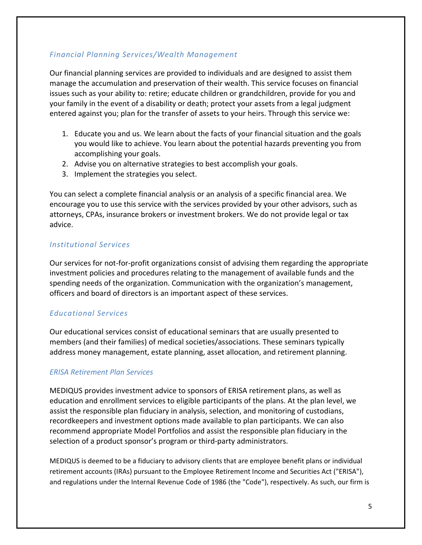#### *Financial Planning Services/Wealth Management*

Our financial planning services are provided to individuals and are designed to assist them manage the accumulation and preservation of their wealth. This service focuses on financial issues such as your ability to: retire; educate children or grandchildren, provide for you and your family in the event of a disability or death; protect your assets from a legal judgment entered against you; plan for the transfer of assets to your heirs. Through this service we:

- 1. Educate you and us. We learn about the facts of your financial situation and the goals you would like to achieve. You learn about the potential hazards preventing you from accomplishing your goals.
- 2. Advise you on alternative strategies to best accomplish your goals.
- 3. Implement the strategies you select.

You can select a complete financial analysis or an analysis of a specific financial area. We encourage you to use this service with the services provided by your other advisors, such as attorneys, CPAs, insurance brokers or investment brokers. We do not provide legal or tax advice.

#### *Institutional Services*

Our services for not‐for‐profit organizations consist of advising them regarding the appropriate investment policies and procedures relating to the management of available funds and the spending needs of the organization. Communication with the organization's management, officers and board of directors is an important aspect of these services.

### *Educational Services*

Our educational services consist of educational seminars that are usually presented to members (and their families) of medical societies/associations. These seminars typically address money management, estate planning, asset allocation, and retirement planning.

#### *ERISA Retirement Plan Services*

MEDIQUS provides investment advice to sponsors of ERISA retirement plans, as well as education and enrollment services to eligible participants of the plans. At the plan level, we assist the responsible plan fiduciary in analysis, selection, and monitoring of custodians, recordkeepers and investment options made available to plan participants. We can also recommend appropriate Model Portfolios and assist the responsible plan fiduciary in the selection of a product sponsor's program or third-party administrators.

MEDIQUS is deemed to be a fiduciary to advisory clients that are employee benefit plans or individual retirement accounts (IRAs) pursuant to the Employee Retirement Income and Securities Act ("ERISA"), and regulations under the Internal Revenue Code of 1986 (the "Code"), respectively. As such, our firm is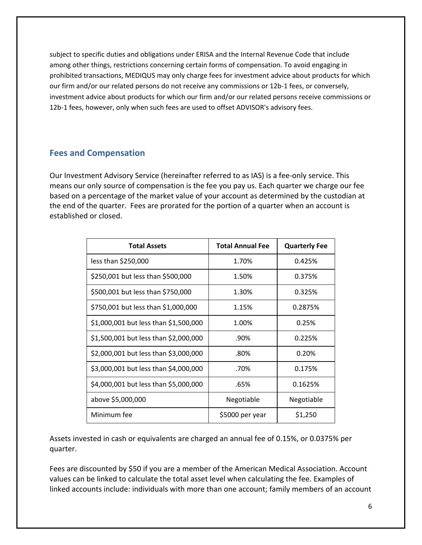subject to specific duties and obligations under ERISA and the Internal Revenue Code that include among other things, restrictions concerning certain forms of compensation. To avoid engaging in prohibited transactions, MEDIQUS may only charge fees for investment advice about products for which our firm and/or our related persons do not receive any commissions or 12b-1 fees, or conversely, investment advice about products for which our firm and/or our related persons receive commissions or 12b-1 fees, however, only when such fees are used to offset ADVISOR's advisory fees.

### **Fees and Compensation**

Our Investment Advisory Service (hereinafter referred to as IAS) is a fee‐only service. This means our only source of compensation is the fee you pay us. Each quarter we charge our fee based on a percentage of the market value of your account as determined by the custodian at the end of the quarter. Fees are prorated for the portion of a quarter when an account is established or closed.

| <b>Total Assets</b>                   | <b>Total Annual Fee</b> | <b>Quarterly Fee</b> |
|---------------------------------------|-------------------------|----------------------|
| less than \$250,000                   | 1.70%                   | 0.425%               |
| \$250,001 but less than \$500,000     | 1.50%                   | 0.375%               |
| \$500,001 but less than \$750,000     | 1.30%                   | 0.325%               |
| \$750,001 but less than \$1,000,000   | 1.15%                   | 0.2875%              |
| \$1,000,001 but less than \$1,500,000 | 1.00%                   | 0.25%                |
| \$1,500,001 but less than \$2,000,000 | .90%                    | 0.225%               |
| \$2,000,001 but less than \$3,000,000 | .80%                    | 0.20%                |
| \$3,000,001 but less than \$4,000,000 | .70%                    | 0.175%               |
| \$4,000,001 but less than \$5,000,000 | .65%                    | 0.1625%              |
| above \$5,000,000                     | Negotiable              | Negotiable           |
| Minimum fee                           | \$5000 per year         | \$1,250              |

Assets invested in cash or equivalents are charged an annual fee of 0.15%, or 0.0375% per quarter.

Fees are discounted by \$50 if you are a member of the American Medical Association. Account values can be linked to calculate the total asset level when calculating the fee. Examples of linked accounts include: individuals with more than one account; family members of an account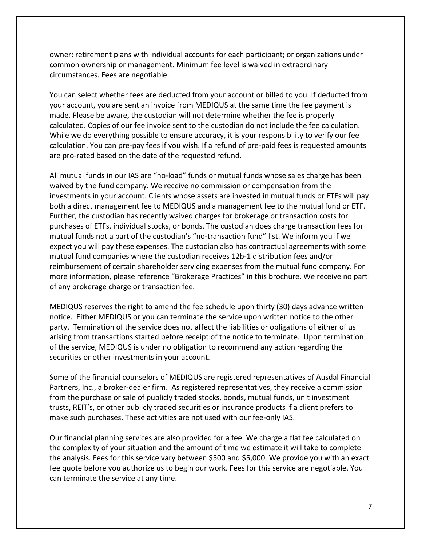owner; retirement plans with individual accounts for each participant; or organizations under common ownership or management. Minimum fee level is waived in extraordinary circumstances. Fees are negotiable.

You can select whether fees are deducted from your account or billed to you. If deducted from your account, you are sent an invoice from MEDIQUS at the same time the fee payment is made. Please be aware, the custodian will not determine whether the fee is properly calculated. Copies of our fee invoice sent to the custodian do not include the fee calculation. While we do everything possible to ensure accuracy, it is your responsibility to verify our fee calculation. You can pre‐pay fees if you wish. If a refund of pre‐paid fees is requested amounts are pro-rated based on the date of the requested refund.

All mutual funds in our IAS are "no‐load" funds or mutual funds whose sales charge has been waived by the fund company. We receive no commission or compensation from the investments in your account. Clients whose assets are invested in mutual funds or ETFs will pay both a direct management fee to MEDIQUS and a management fee to the mutual fund or ETF. Further, the custodian has recently waived charges for brokerage or transaction costs for purchases of ETFs, individual stocks, or bonds. The custodian does charge transaction fees for mutual funds not a part of the custodian's "no‐transaction fund" list. We inform you if we expect you will pay these expenses. The custodian also has contractual agreements with some mutual fund companies where the custodian receives 12b‐1 distribution fees and/or reimbursement of certain shareholder servicing expenses from the mutual fund company. For more information, please reference "Brokerage Practices" in this brochure. We receive no part of any brokerage charge or transaction fee.

MEDIQUS reserves the right to amend the fee schedule upon thirty (30) days advance written notice. Either MEDIQUS or you can terminate the service upon written notice to the other party. Termination of the service does not affect the liabilities or obligations of either of us arising from transactions started before receipt of the notice to terminate. Upon termination of the service, MEDIQUS is under no obligation to recommend any action regarding the securities or other investments in your account.

Some of the financial counselors of MEDIQUS are registered representatives of Ausdal Financial Partners, Inc., a broker‐dealer firm. As registered representatives, they receive a commission from the purchase or sale of publicly traded stocks, bonds, mutual funds, unit investment trusts, REIT's, or other publicly traded securities or insurance products if a client prefers to make such purchases. These activities are not used with our fee‐only IAS.

Our financial planning services are also provided for a fee. We charge a flat fee calculated on the complexity of your situation and the amount of time we estimate it will take to complete the analysis. Fees for this service vary between \$500 and \$5,000. We provide you with an exact fee quote before you authorize us to begin our work. Fees for this service are negotiable. You can terminate the service at any time.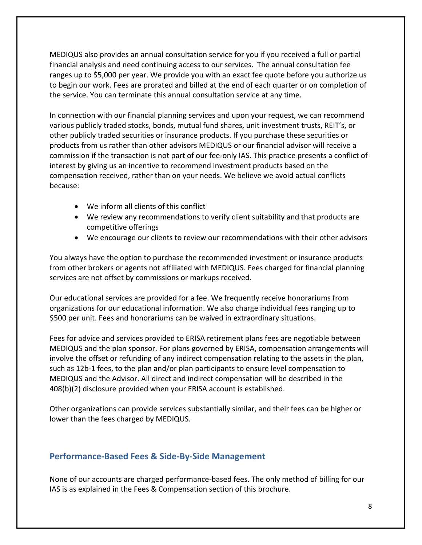MEDIQUS also provides an annual consultation service for you if you received a full or partial financial analysis and need continuing access to our services. The annual consultation fee ranges up to \$5,000 per year. We provide you with an exact fee quote before you authorize us to begin our work. Fees are prorated and billed at the end of each quarter or on completion of the service. You can terminate this annual consultation service at any time.

In connection with our financial planning services and upon your request, we can recommend various publicly traded stocks, bonds, mutual fund shares, unit investment trusts, REIT's, or other publicly traded securities or insurance products. If you purchase these securities or products from us rather than other advisors MEDIQUS or our financial advisor will receive a commission if the transaction is not part of our fee‐only IAS. This practice presents a conflict of interest by giving us an incentive to recommend investment products based on the compensation received, rather than on your needs. We believe we avoid actual conflicts because:

- We inform all clients of this conflict
- We review any recommendations to verify client suitability and that products are competitive offerings
- We encourage our clients to review our recommendations with their other advisors

You always have the option to purchase the recommended investment or insurance products from other brokers or agents not affiliated with MEDIQUS. Fees charged for financial planning services are not offset by commissions or markups received.

Our educational services are provided for a fee. We frequently receive honorariums from organizations for our educational information. We also charge individual fees ranging up to \$500 per unit. Fees and honorariums can be waived in extraordinary situations.

Fees for advice and services provided to ERISA retirement plans fees are negotiable between MEDIQUS and the plan sponsor. For plans governed by ERISA, compensation arrangements will involve the offset or refunding of any indirect compensation relating to the assets in the plan, such as 12b‐1 fees, to the plan and/or plan participants to ensure level compensation to MEDIQUS and the Advisor. All direct and indirect compensation will be described in the 408(b)(2) disclosure provided when your ERISA account is established.

Other organizations can provide services substantially similar, and their fees can be higher or lower than the fees charged by MEDIQUS.

### **Performance‐Based Fees & Side‐By‐Side Management**

None of our accounts are charged performance‐based fees. The only method of billing for our IAS is as explained in the Fees & Compensation section of this brochure.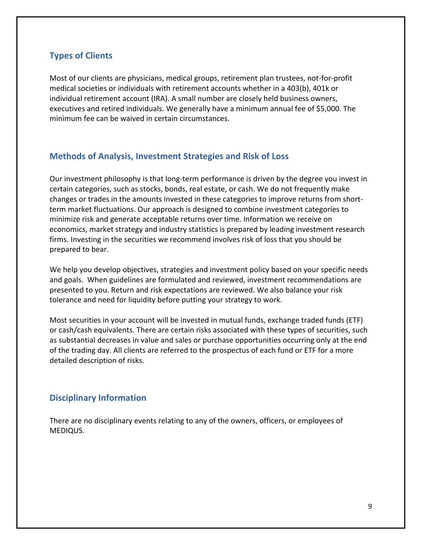### **Types of Clients**

Most of our clients are physicians, medical groups, retirement plan trustees, not-for-profit medical societies or individuals with retirement accounts whether in a 403(b), 401k or individual retirement account (IRA). A small number are closely held business owners, executives and retired individuals. We generally have a minimum annual fee of \$5,000. The minimum fee can be waived in certain circumstances.

### **Methods of Analysis, Investment Strategies and Risk of Loss**

Our investment philosophy is that long‐term performance is driven by the degree you invest in certain categories, such as stocks, bonds, real estate, or cash. We do not frequently make changes or trades in the amounts invested in these categories to improve returns from short‐ term market fluctuations. Our approach is designed to combine investment categories to minimize risk and generate acceptable returns over time. Information we receive on economics, market strategy and industry statistics is prepared by leading investment research firms. Investing in the securities we recommend involves risk of loss that you should be prepared to bear.

We help you develop objectives, strategies and investment policy based on your specific needs and goals. When guidelines are formulated and reviewed, investment recommendations are presented to you. Return and risk expectations are reviewed. We also balance your risk tolerance and need for liquidity before putting your strategy to work.

Most securities in your account will be invested in mutual funds, exchange traded funds (ETF) or cash/cash equivalents. There are certain risks associated with these types of securities, such as substantial decreases in value and sales or purchase opportunities occurring only at the end of the trading day. All clients are referred to the prospectus of each fund or ETF for a more detailed description of risks.

#### **Disciplinary Information**

There are no disciplinary events relating to any of the owners, officers, or employees of MEDIQUS.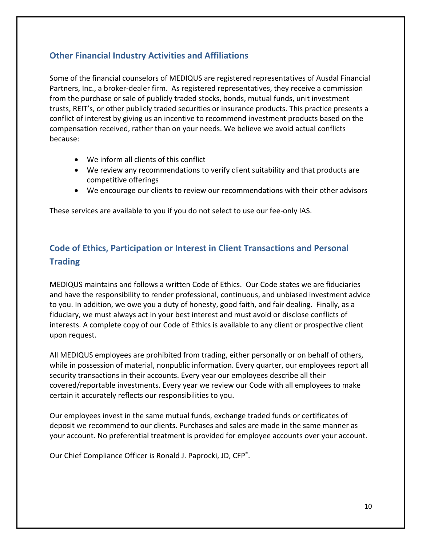## **Other Financial Industry Activities and Affiliations**

Some of the financial counselors of MEDIQUS are registered representatives of Ausdal Financial Partners, Inc., a broker‐dealer firm. As registered representatives, they receive a commission from the purchase or sale of publicly traded stocks, bonds, mutual funds, unit investment trusts, REIT's, or other publicly traded securities or insurance products. This practice presents a conflict of interest by giving us an incentive to recommend investment products based on the compensation received, rather than on your needs. We believe we avoid actual conflicts because:

- We inform all clients of this conflict
- We review any recommendations to verify client suitability and that products are competitive offerings
- We encourage our clients to review our recommendations with their other advisors

These services are available to you if you do not select to use our fee‐only IAS.

# **Code of Ethics, Participation or Interest in Client Transactions and Personal Trading**

MEDIQUS maintains and follows a written Code of Ethics. Our Code states we are fiduciaries and have the responsibility to render professional, continuous, and unbiased investment advice to you. In addition, we owe you a duty of honesty, good faith, and fair dealing. Finally, as a fiduciary, we must always act in your best interest and must avoid or disclose conflicts of interests. A complete copy of our Code of Ethics is available to any client or prospective client upon request.

All MEDIQUS employees are prohibited from trading, either personally or on behalf of others, while in possession of material, nonpublic information. Every quarter, our employees report all security transactions in their accounts. Every year our employees describe all their covered/reportable investments. Every year we review our Code with all employees to make certain it accurately reflects our responsibilities to you.

Our employees invest in the same mutual funds, exchange traded funds or certificates of deposit we recommend to our clients. Purchases and sales are made in the same manner as your account. No preferential treatment is provided for employee accounts over your account.

Our Chief Compliance Officer is Ronald J. Paprocki, JD, CFP®.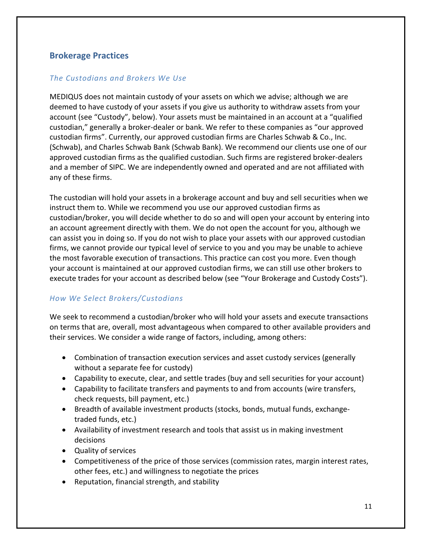### **Brokerage Practices**

#### *The Custodians and Brokers We Use*

MEDIQUS does not maintain custody of your assets on which we advise; although we are deemed to have custody of your assets if you give us authority to withdraw assets from your account (see "Custody", below). Your assets must be maintained in an account at a "qualified custodian," generally a broker‐dealer or bank. We refer to these companies as "our approved custodian firms". Currently, our approved custodian firms are Charles Schwab & Co., Inc. (Schwab), and Charles Schwab Bank (Schwab Bank). We recommend our clients use one of our approved custodian firms as the qualified custodian. Such firms are registered broker‐dealers and a member of SIPC. We are independently owned and operated and are not affiliated with any of these firms.

The custodian will hold your assets in a brokerage account and buy and sell securities when we instruct them to. While we recommend you use our approved custodian firms as custodian/broker, you will decide whether to do so and will open your account by entering into an account agreement directly with them. We do not open the account for you, although we can assist you in doing so. If you do not wish to place your assets with our approved custodian firms, we cannot provide our typical level of service to you and you may be unable to achieve the most favorable execution of transactions. This practice can cost you more. Even though your account is maintained at our approved custodian firms, we can still use other brokers to execute trades for your account as described below (see "Your Brokerage and Custody Costs").

#### *How We Select Brokers/Custodians*

We seek to recommend a custodian/broker who will hold your assets and execute transactions on terms that are, overall, most advantageous when compared to other available providers and their services. We consider a wide range of factors, including, among others:

- Combination of transaction execution services and asset custody services (generally without a separate fee for custody)
- Capability to execute, clear, and settle trades (buy and sell securities for your account)
- Capability to facilitate transfers and payments to and from accounts (wire transfers, check requests, bill payment, etc.)
- Breadth of available investment products (stocks, bonds, mutual funds, exchangetraded funds, etc.)
- Availability of investment research and tools that assist us in making investment decisions
- Quality of services
- Competitiveness of the price of those services (commission rates, margin interest rates, other fees, etc.) and willingness to negotiate the prices
- Reputation, financial strength, and stability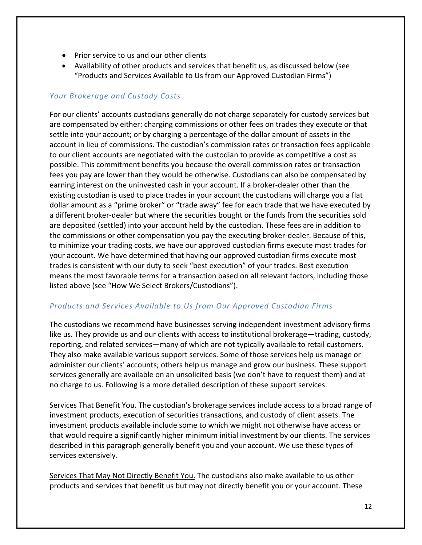- Prior service to us and our other clients
- Availability of other products and services that benefit us, as discussed below (see "Products and Services Available to Us from our Approved Custodian Firms")

#### *Your Brokerage and Custody Costs*

For our clients' accounts custodians generally do not charge separately for custody services but are compensated by either: charging commissions or other fees on trades they execute or that settle into your account; or by charging a percentage of the dollar amount of assets in the account in lieu of commissions. The custodian's commission rates or transaction fees applicable to our client accounts are negotiated with the custodian to provide as competitive a cost as possible. This commitment benefits you because the overall commission rates or transaction fees you pay are lower than they would be otherwise. Custodians can also be compensated by earning interest on the uninvested cash in your account. If a broker‐dealer other than the existing custodian is used to place trades in your account the custodians will charge you a flat dollar amount as a "prime broker" or "trade away" fee for each trade that we have executed by a different broker-dealer but where the securities bought or the funds from the securities sold are deposited (settled) into your account held by the custodian. These fees are in addition to the commissions or other compensation you pay the executing broker‐dealer. Because of this, to minimize your trading costs, we have our approved custodian firms execute most trades for your account. We have determined that having our approved custodian firms execute most trades is consistent with our duty to seek "best execution" of your trades. Best execution means the most favorable terms for a transaction based on all relevant factors, including those listed above (see "How We Select Brokers/Custodians").

#### *Products and Services Available to Us from Our Approved Custodian Firms*

The custodians we recommend have businesses serving independent investment advisory firms like us. They provide us and our clients with access to institutional brokerage—trading, custody, reporting, and related services—many of which are not typically available to retail customers. They also make available various support services. Some of those services help us manage or administer our clients' accounts; others help us manage and grow our business. These support services generally are available on an unsolicited basis (we don't have to request them) and at no charge to us. Following is a more detailed description of these support services.

Services That Benefit You. The custodian's brokerage services include access to a broad range of investment products, execution of securities transactions, and custody of client assets. The investment products available include some to which we might not otherwise have access or that would require a significantly higher minimum initial investment by our clients. The services described in this paragraph generally benefit you and your account. We use these types of services extensively.

Services That May Not Directly Benefit You. The custodians also make available to us other products and services that benefit us but may not directly benefit you or your account. These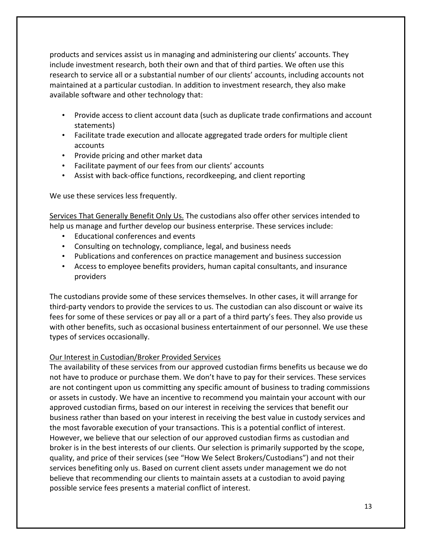products and services assist us in managing and administering our clients' accounts. They include investment research, both their own and that of third parties. We often use this research to service all or a substantial number of our clients' accounts, including accounts not maintained at a particular custodian. In addition to investment research, they also make available software and other technology that:

- Provide access to client account data (such as duplicate trade confirmations and account statements)
- Facilitate trade execution and allocate aggregated trade orders for multiple client accounts
- Provide pricing and other market data
- Facilitate payment of our fees from our clients' accounts
- Assist with back-office functions, recordkeeping, and client reporting

We use these services less frequently.

Services That Generally Benefit Only Us. The custodians also offer other services intended to help us manage and further develop our business enterprise. These services include:

- Educational conferences and events
- Consulting on technology, compliance, legal, and business needs
- Publications and conferences on practice management and business succession
- Access to employee benefits providers, human capital consultants, and insurance providers

The custodians provide some of these services themselves. In other cases, it will arrange for third‐party vendors to provide the services to us. The custodian can also discount or waive its fees for some of these services or pay all or a part of a third party's fees. They also provide us with other benefits, such as occasional business entertainment of our personnel. We use these types of services occasionally.

#### Our Interest in Custodian/Broker Provided Services

The availability of these services from our approved custodian firms benefits us because we do not have to produce or purchase them. We don't have to pay for their services. These services are not contingent upon us committing any specific amount of business to trading commissions or assets in custody. We have an incentive to recommend you maintain your account with our approved custodian firms, based on our interest in receiving the services that benefit our business rather than based on your interest in receiving the best value in custody services and the most favorable execution of your transactions. This is a potential conflict of interest. However, we believe that our selection of our approved custodian firms as custodian and broker is in the best interests of our clients. Our selection is primarily supported by the scope, quality, and price of their services (see "How We Select Brokers/Custodians") and not their services benefiting only us. Based on current client assets under management we do not believe that recommending our clients to maintain assets at a custodian to avoid paying possible service fees presents a material conflict of interest.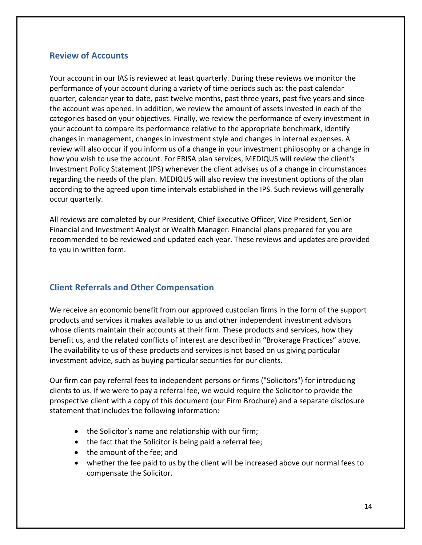#### **Review of Accounts**

Your account in our IAS is reviewed at least quarterly. During these reviews we monitor the performance of your account during a variety of time periods such as: the past calendar quarter, calendar year to date, past twelve months, past three years, past five years and since the account was opened. In addition, we review the amount of assets invested in each of the categories based on your objectives. Finally, we review the performance of every investment in your account to compare its performance relative to the appropriate benchmark, identify changes in management, changes in investment style and changes in internal expenses. A review will also occur if you inform us of a change in your investment philosophy or a change in how you wish to use the account. For ERISA plan services, MEDIQUS will review the client's Investment Policy Statement (IPS) whenever the client advises us of a change in circumstances regarding the needs of the plan. MEDIQUS will also review the investment options of the plan according to the agreed upon time intervals established in the IPS. Such reviews will generally occur quarterly.

All reviews are completed by our President, Chief Executive Officer, Vice President, Senior Financial and Investment Analyst or Wealth Manager. Financial plans prepared for you are recommended to be reviewed and updated each year. These reviews and updates are provided to you in written form.

### **Client Referrals and Other Compensation**

We receive an economic benefit from our approved custodian firms in the form of the support products and services it makes available to us and other independent investment advisors whose clients maintain their accounts at their firm. These products and services, how they benefit us, and the related conflicts of interest are described in "Brokerage Practices" above. The availability to us of these products and services is not based on us giving particular investment advice, such as buying particular securities for our clients.

Our firm can pay referral fees to independent persons or firms ("Solicitors") for introducing clients to us. If we were to pay a referral fee, we would require the Solicitor to provide the prospective client with a copy of this document (our Firm Brochure) and a separate disclosure statement that includes the following information:

- the Solicitor's name and relationship with our firm;
- the fact that the Solicitor is being paid a referral fee;
- the amount of the fee: and
- whether the fee paid to us by the client will be increased above our normal fees to compensate the Solicitor.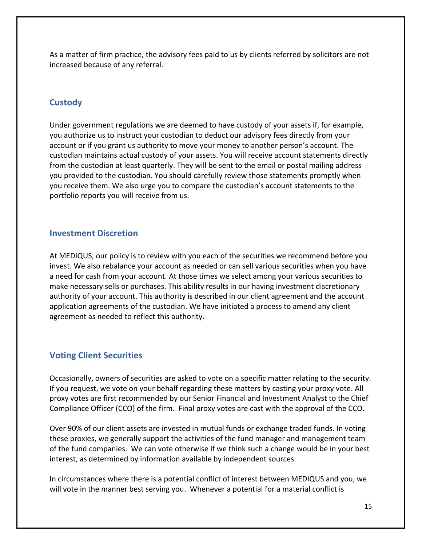As a matter of firm practice, the advisory fees paid to us by clients referred by solicitors are not increased because of any referral.

## **Custody**

Under government regulations we are deemed to have custody of your assets if, for example, you authorize us to instruct your custodian to deduct our advisory fees directly from your account or if you grant us authority to move your money to another person's account. The custodian maintains actual custody of your assets. You will receive account statements directly from the custodian at least quarterly. They will be sent to the email or postal mailing address you provided to the custodian. You should carefully review those statements promptly when you receive them. We also urge you to compare the custodian's account statements to the portfolio reports you will receive from us.

### **Investment Discretion**

At MEDIQUS, our policy is to review with you each of the securities we recommend before you invest. We also rebalance your account as needed or can sell various securities when you have a need for cash from your account. At those times we select among your various securities to make necessary sells or purchases. This ability results in our having investment discretionary authority of your account. This authority is described in our client agreement and the account application agreements of the custodian. We have initiated a process to amend any client agreement as needed to reflect this authority.

## **Voting Client Securities**

Occasionally, owners of securities are asked to vote on a specific matter relating to the security. If you request, we vote on your behalf regarding these matters by casting your proxy vote. All proxy votes are first recommended by our Senior Financial and Investment Analyst to the Chief Compliance Officer (CCO) of the firm. Final proxy votes are cast with the approval of the CCO.

Over 90% of our client assets are invested in mutual funds or exchange traded funds. In voting these proxies, we generally support the activities of the fund manager and management team of the fund companies. We can vote otherwise if we think such a change would be in your best interest, as determined by information available by independent sources.

In circumstances where there is a potential conflict of interest between MEDIQUS and you, we will vote in the manner best serving you. Whenever a potential for a material conflict is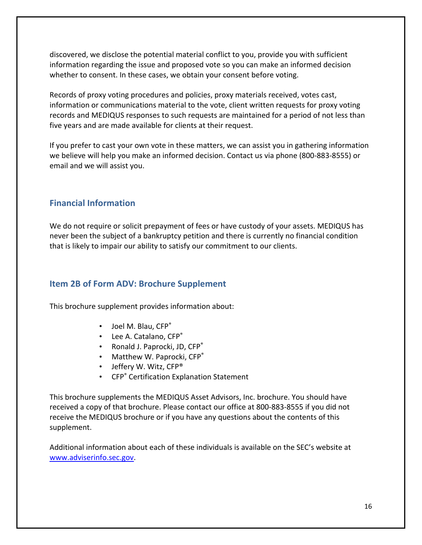discovered, we disclose the potential material conflict to you, provide you with sufficient information regarding the issue and proposed vote so you can make an informed decision whether to consent. In these cases, we obtain your consent before voting.

Records of proxy voting procedures and policies, proxy materials received, votes cast, information or communications material to the vote, client written requests for proxy voting records and MEDIQUS responses to such requests are maintained for a period of not less than five years and are made available for clients at their request.

If you prefer to cast your own vote in these matters, we can assist you in gathering information we believe will help you make an informed decision. Contact us via phone (800‐883‐8555) or email and we will assist you.

## **Financial Information**

We do not require or solicit prepayment of fees or have custody of your assets. MEDIQUS has never been the subject of a bankruptcy petition and there is currently no financial condition that is likely to impair our ability to satisfy our commitment to our clients.

### **Item 2B of Form ADV: Brochure Supplement**

This brochure supplement provides information about:

- Joel M. Blau. CFP<sup>®</sup>
- Lee A. Catalano, CFP®
- Ronald J. Paprocki, JD, CFP<sup>®</sup>
- Matthew W. Paprocki, CFP®
- Jeffery W. Witz, CFP®
- CFP® Certification Explanation Statement

This brochure supplements the MEDIQUS Asset Advisors, Inc. brochure. You should have received a copy of that brochure. Please contact our office at 800‐883‐8555 if you did not receive the MEDIQUS brochure or if you have any questions about the contents of this supplement.

Additional information about each of these individuals is available on the SEC's website at www.adviserinfo.sec.gov.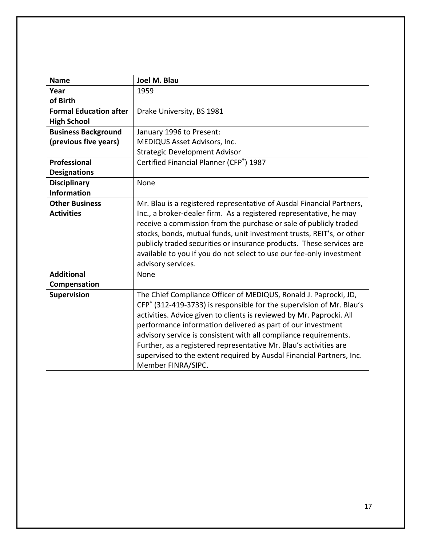| <b>Name</b>                   | Joel M. Blau                                                          |
|-------------------------------|-----------------------------------------------------------------------|
| Year                          | 1959                                                                  |
| of Birth                      |                                                                       |
| <b>Formal Education after</b> | Drake University, BS 1981                                             |
| <b>High School</b>            |                                                                       |
| <b>Business Background</b>    | January 1996 to Present:                                              |
| (previous five years)         | MEDIQUS Asset Advisors, Inc.                                          |
|                               | <b>Strategic Development Advisor</b>                                  |
| Professional                  | Certified Financial Planner (CFP®) 1987                               |
| <b>Designations</b>           |                                                                       |
| <b>Disciplinary</b>           | None                                                                  |
| <b>Information</b>            |                                                                       |
| <b>Other Business</b>         | Mr. Blau is a registered representative of Ausdal Financial Partners, |
| <b>Activities</b>             | Inc., a broker-dealer firm. As a registered representative, he may    |
|                               | receive a commission from the purchase or sale of publicly traded     |
|                               | stocks, bonds, mutual funds, unit investment trusts, REIT's, or other |
|                               | publicly traded securities or insurance products. These services are  |
|                               | available to you if you do not select to use our fee-only investment  |
|                               | advisory services.                                                    |
| <b>Additional</b>             | None                                                                  |
| Compensation                  |                                                                       |
| Supervision                   | The Chief Compliance Officer of MEDIQUS, Ronald J. Paprocki, JD,      |
|                               | CFP® (312-419-3733) is responsible for the supervision of Mr. Blau's  |
|                               | activities. Advice given to clients is reviewed by Mr. Paprocki. All  |
|                               | performance information delivered as part of our investment           |
|                               | advisory service is consistent with all compliance requirements.      |
|                               | Further, as a registered representative Mr. Blau's activities are     |
|                               | supervised to the extent required by Ausdal Financial Partners, Inc.  |
|                               | Member FINRA/SIPC.                                                    |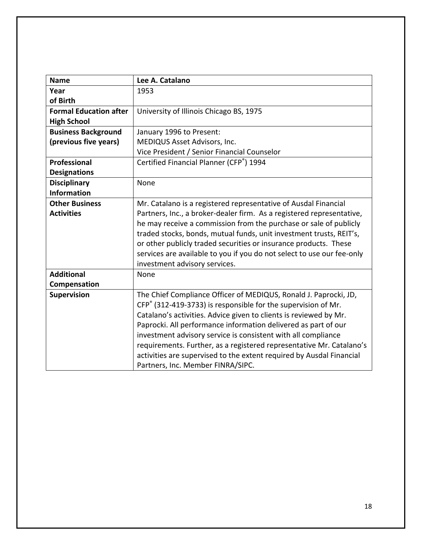| <b>Name</b>                   | Lee A. Catalano                                                        |
|-------------------------------|------------------------------------------------------------------------|
| Year                          | 1953                                                                   |
| of Birth                      |                                                                        |
| <b>Formal Education after</b> | University of Illinois Chicago BS, 1975                                |
| <b>High School</b>            |                                                                        |
| <b>Business Background</b>    | January 1996 to Present:                                               |
| (previous five years)         | MEDIQUS Asset Advisors, Inc.                                           |
|                               | Vice President / Senior Financial Counselor                            |
| Professional                  | Certified Financial Planner (CFP®) 1994                                |
| <b>Designations</b>           |                                                                        |
| <b>Disciplinary</b>           | None                                                                   |
| <b>Information</b>            |                                                                        |
| <b>Other Business</b>         | Mr. Catalano is a registered representative of Ausdal Financial        |
| <b>Activities</b>             | Partners, Inc., a broker-dealer firm. As a registered representative,  |
|                               | he may receive a commission from the purchase or sale of publicly      |
|                               | traded stocks, bonds, mutual funds, unit investment trusts, REIT's,    |
|                               | or other publicly traded securities or insurance products. These       |
|                               | services are available to you if you do not select to use our fee-only |
|                               | investment advisory services.                                          |
| <b>Additional</b>             | None                                                                   |
| Compensation                  |                                                                        |
| Supervision                   | The Chief Compliance Officer of MEDIQUS, Ronald J. Paprocki, JD,       |
|                               | CFP® (312-419-3733) is responsible for the supervision of Mr.          |
|                               | Catalano's activities. Advice given to clients is reviewed by Mr.      |
|                               | Paprocki. All performance information delivered as part of our         |
|                               | investment advisory service is consistent with all compliance          |
|                               | requirements. Further, as a registered representative Mr. Catalano's   |
|                               | activities are supervised to the extent required by Ausdal Financial   |
|                               | Partners, Inc. Member FINRA/SIPC.                                      |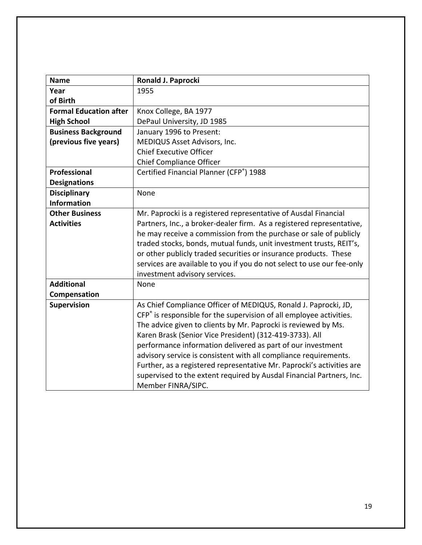| <b>Name</b>                   | Ronald J. Paprocki                                                              |
|-------------------------------|---------------------------------------------------------------------------------|
| Year                          | 1955                                                                            |
| of Birth                      |                                                                                 |
| <b>Formal Education after</b> | Knox College, BA 1977                                                           |
| <b>High School</b>            | DePaul University, JD 1985                                                      |
| <b>Business Background</b>    | January 1996 to Present:                                                        |
| (previous five years)         | MEDIQUS Asset Advisors, Inc.                                                    |
|                               | <b>Chief Executive Officer</b>                                                  |
|                               | <b>Chief Compliance Officer</b>                                                 |
| <b>Professional</b>           | Certified Financial Planner (CFP®) 1988                                         |
| <b>Designations</b>           |                                                                                 |
| <b>Disciplinary</b>           | None                                                                            |
| <b>Information</b>            |                                                                                 |
| <b>Other Business</b>         | Mr. Paprocki is a registered representative of Ausdal Financial                 |
| <b>Activities</b>             | Partners, Inc., a broker-dealer firm. As a registered representative,           |
|                               | he may receive a commission from the purchase or sale of publicly               |
|                               | traded stocks, bonds, mutual funds, unit investment trusts, REIT's,             |
|                               | or other publicly traded securities or insurance products. These                |
|                               | services are available to you if you do not select to use our fee-only          |
|                               | investment advisory services.                                                   |
| <b>Additional</b>             | None                                                                            |
| Compensation                  |                                                                                 |
| Supervision                   | As Chief Compliance Officer of MEDIQUS, Ronald J. Paprocki, JD,                 |
|                               | CFP <sup>®</sup> is responsible for the supervision of all employee activities. |
|                               | The advice given to clients by Mr. Paprocki is reviewed by Ms.                  |
|                               | Karen Brask (Senior Vice President) (312-419-3733). All                         |
|                               | performance information delivered as part of our investment                     |
|                               | advisory service is consistent with all compliance requirements.                |
|                               | Further, as a registered representative Mr. Paprocki's activities are           |
|                               | supervised to the extent required by Ausdal Financial Partners, Inc.            |
|                               | Member FINRA/SIPC.                                                              |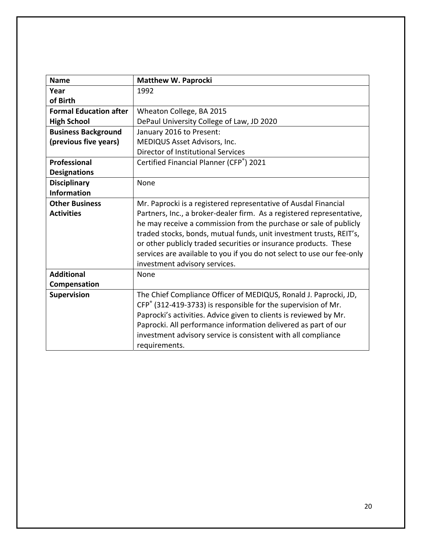| <b>Name</b>                   | <b>Matthew W. Paprocki</b>                                                                                                              |
|-------------------------------|-----------------------------------------------------------------------------------------------------------------------------------------|
| Year                          | 1992                                                                                                                                    |
| of Birth                      |                                                                                                                                         |
| <b>Formal Education after</b> | Wheaton College, BA 2015                                                                                                                |
| <b>High School</b>            | DePaul University College of Law, JD 2020                                                                                               |
| <b>Business Background</b>    | January 2016 to Present:                                                                                                                |
| (previous five years)         | MEDIQUS Asset Advisors, Inc.                                                                                                            |
|                               | Director of Institutional Services                                                                                                      |
| Professional                  | Certified Financial Planner (CFP®) 2021                                                                                                 |
| <b>Designations</b>           |                                                                                                                                         |
| <b>Disciplinary</b>           | None                                                                                                                                    |
| <b>Information</b>            |                                                                                                                                         |
| <b>Other Business</b>         | Mr. Paprocki is a registered representative of Ausdal Financial                                                                         |
| <b>Activities</b>             | Partners, Inc., a broker-dealer firm. As a registered representative,                                                                   |
|                               | he may receive a commission from the purchase or sale of publicly                                                                       |
|                               | traded stocks, bonds, mutual funds, unit investment trusts, REIT's,<br>or other publicly traded securities or insurance products. These |
|                               | services are available to you if you do not select to use our fee-only                                                                  |
|                               | investment advisory services.                                                                                                           |
| <b>Additional</b>             | None                                                                                                                                    |
| Compensation                  |                                                                                                                                         |
| <b>Supervision</b>            | The Chief Compliance Officer of MEDIQUS, Ronald J. Paprocki, JD,                                                                        |
|                               | CFP® (312-419-3733) is responsible for the supervision of Mr.                                                                           |
|                               | Paprocki's activities. Advice given to clients is reviewed by Mr.                                                                       |
|                               | Paprocki. All performance information delivered as part of our                                                                          |
|                               | investment advisory service is consistent with all compliance                                                                           |
|                               | requirements.                                                                                                                           |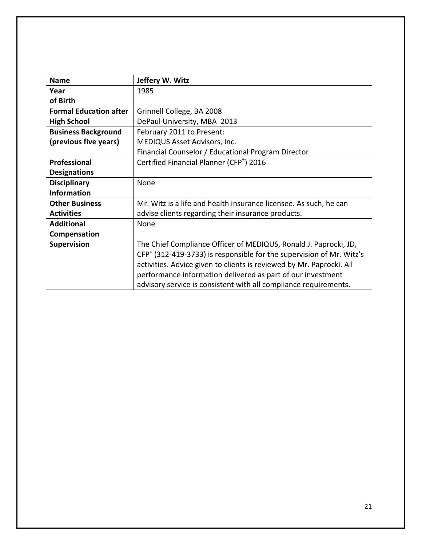| <b>Name</b>                   | Jeffery W. Witz                                                      |
|-------------------------------|----------------------------------------------------------------------|
| Year                          | 1985                                                                 |
| of Birth                      |                                                                      |
| <b>Formal Education after</b> | Grinnell College, BA 2008                                            |
| <b>High School</b>            | DePaul University, MBA 2013                                          |
| <b>Business Background</b>    | February 2011 to Present:                                            |
| (previous five years)         | MEDIQUS Asset Advisors, Inc.                                         |
|                               | Financial Counselor / Educational Program Director                   |
| Professional                  | Certified Financial Planner (CFP®) 2016                              |
| <b>Designations</b>           |                                                                      |
| <b>Disciplinary</b>           | None                                                                 |
| <b>Information</b>            |                                                                      |
| <b>Other Business</b>         | Mr. Witz is a life and health insurance licensee. As such, he can    |
| <b>Activities</b>             | advise clients regarding their insurance products.                   |
| <b>Additional</b>             | None                                                                 |
| Compensation                  |                                                                      |
| <b>Supervision</b>            | The Chief Compliance Officer of MEDIQUS, Ronald J. Paprocki, JD,     |
|                               | CFP® (312-419-3733) is responsible for the supervision of Mr. Witz's |
|                               | activities. Advice given to clients is reviewed by Mr. Paprocki. All |
|                               | performance information delivered as part of our investment          |
|                               | advisory service is consistent with all compliance requirements.     |